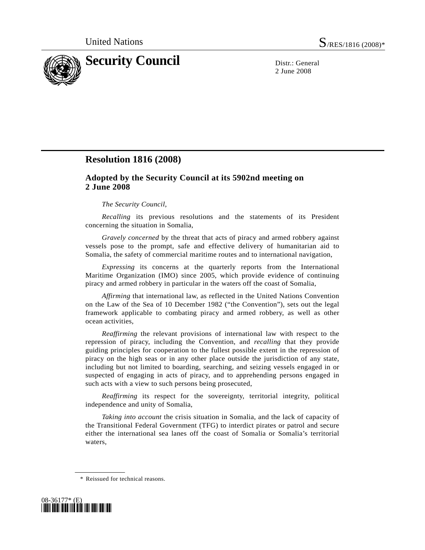

2 June 2008

## **Resolution 1816 (2008)**

## **Adopted by the Security Council at its 5902nd meeting on 2 June 2008**

## *The Security Council*,

*Recalling* its previous resolutions and the statements of its President concerning the situation in Somalia,

*Gravely concerned* by the threat that acts of piracy and armed robbery against vessels pose to the prompt, safe and effective delivery of humanitarian aid to Somalia, the safety of commercial maritime routes and to international navigation,

*Expressing* its concerns at the quarterly reports from the International Maritime Organization (IMO) since 2005, which provide evidence of continuing piracy and armed robbery in particular in the waters off the coast of Somalia,

*Affirming* that international law, as reflected in the United Nations Convention on the Law of the Sea of 10 December 1982 ("the Convention"), sets out the legal framework applicable to combating piracy and armed robbery, as well as other ocean activities,

*Reaffirming* the relevant provisions of international law with respect to the repression of piracy, including the Convention, and *recalling* that they provide guiding principles for cooperation to the fullest possible extent in the repression of piracy on the high seas or in any other place outside the jurisdiction of any state, including but not limited to boarding, searching, and seizing vessels engaged in or suspected of engaging in acts of piracy, and to apprehending persons engaged in such acts with a view to such persons being prosecuted,

*Reaffirming* its respect for the sovereignty, territorial integrity, political independence and unity of Somalia,

*Taking into account* the crisis situation in Somalia, and the lack of capacity of the Transitional Federal Government (TFG) to interdict pirates or patrol and secure either the international sea lanes off the coast of Somalia or Somalia's territorial waters,

 <sup>\*</sup> Reissued for technical reasons.

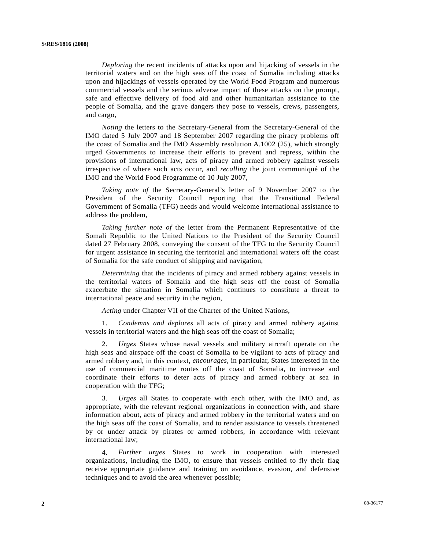*Deploring* the recent incidents of attacks upon and hijacking of vessels in the territorial waters and on the high seas off the coast of Somalia including attacks upon and hijackings of vessels operated by the World Food Program and numerous commercial vessels and the serious adverse impact of these attacks on the prompt, safe and effective delivery of food aid and other humanitarian assistance to the people of Somalia, and the grave dangers they pose to vessels, crews, passengers, and cargo,

*Noting* the letters to the Secretary-General from the Secretary-General of the IMO dated 5 July 2007 and 18 September 2007 regarding the piracy problems off the coast of Somalia and the IMO Assembly resolution A.1002 (25), which strongly urged Governments to increase their efforts to prevent and repress, within the provisions of international law, acts of piracy and armed robbery against vessels irrespective of where such acts occur, and *recalling* the joint communiqué of the IMO and the World Food Programme of 10 July 2007,

*Taking note of* the Secretary-General's letter of 9 November 2007 to the President of the Security Council reporting that the Transitional Federal Government of Somalia (TFG) needs and would welcome international assistance to address the problem,

*Taking further note of* the letter from the Permanent Representative of the Somali Republic to the United Nations to the President of the Security Council dated 27 February 2008, conveying the consent of the TFG to the Security Council for urgent assistance in securing the territorial and international waters off the coast of Somalia for the safe conduct of shipping and navigation,

*Determining* that the incidents of piracy and armed robbery against vessels in the territorial waters of Somalia and the high seas off the coast of Somalia exacerbate the situation in Somalia which continues to constitute a threat to international peace and security in the region,

*Acting* under Chapter VII of the Charter of the United Nations,

 1. *Condemns and deplores* all acts of piracy and armed robbery against vessels in territorial waters and the high seas off the coast of Somalia;

 2. *Urges* States whose naval vessels and military aircraft operate on the high seas and airspace off the coast of Somalia to be vigilant to acts of piracy and armed robbery and, in this context, *encourages*, in particular, States interested in the use of commercial maritime routes off the coast of Somalia, to increase and coordinate their efforts to deter acts of piracy and armed robbery at sea in cooperation with the TFG;

 3. *Urges* all States to cooperate with each other, with the IMO and, as appropriate, with the relevant regional organizations in connection with, and share information about, acts of piracy and armed robbery in the territorial waters and on the high seas off the coast of Somalia, and to render assistance to vessels threatened by or under attack by pirates or armed robbers, in accordance with relevant international law;

 4. *Further urges* States to work in cooperation with interested organizations, including the IMO, to ensure that vessels entitled to fly their flag receive appropriate guidance and training on avoidance, evasion, and defensive techniques and to avoid the area whenever possible;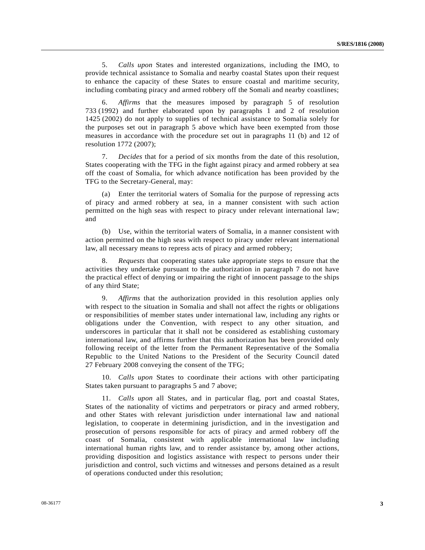5. *Calls upon* States and interested organizations, including the IMO, to provide technical assistance to Somalia and nearby coastal States upon their request to enhance the capacity of these States to ensure coastal and maritime security, including combating piracy and armed robbery off the Somali and nearby coastlines;

 6. *Affirms* that the measures imposed by paragraph 5 of resolution 733 (1992) and further elaborated upon by paragraphs 1 and 2 of resolution 1425 (2002) do not apply to supplies of technical assistance to Somalia solely for the purposes set out in paragraph 5 above which have been exempted from those measures in accordance with the procedure set out in paragraphs 11 (b) and 12 of resolution 1772 (2007);

 7. *Decides* that for a period of six months from the date of this resolution, States cooperating with the TFG in the fight against piracy and armed robbery at sea off the coast of Somalia, for which advance notification has been provided by the TFG to the Secretary-General, may:

 (a) Enter the territorial waters of Somalia for the purpose of repressing acts of piracy and armed robbery at sea, in a manner consistent with such action permitted on the high seas with respect to piracy under relevant international law; and

 (b) Use, within the territorial waters of Somalia, in a manner consistent with action permitted on the high seas with respect to piracy under relevant international law, all necessary means to repress acts of piracy and armed robbery;

 8. *Requests* that cooperating states take appropriate steps to ensure that the activities they undertake pursuant to the authorization in paragraph 7 do not have the practical effect of denying or impairing the right of innocent passage to the ships of any third State;

 9. *Affirms* that the authorization provided in this resolution applies only with respect to the situation in Somalia and shall not affect the rights or obligations or responsibilities of member states under international law, including any rights or obligations under the Convention, with respect to any other situation, and underscores in particular that it shall not be considered as establishing customary international law, and affirms further that this authorization has been provided only following receipt of the letter from the Permanent Representative of the Somalia Republic to the United Nations to the President of the Security Council dated 27 February 2008 conveying the consent of the TFG;

 10. *Calls upon* States to coordinate their actions with other participating States taken pursuant to paragraphs 5 and 7 above;

 11. *Calls upon* all States, and in particular flag, port and coastal States, States of the nationality of victims and perpetrators or piracy and armed robbery, and other States with relevant jurisdiction under international law and national legislation, to cooperate in determining jurisdiction, and in the investigation and prosecution of persons responsible for acts of piracy and armed robbery off the coast of Somalia, consistent with applicable international law including international human rights law, and to render assistance by, among other actions, providing disposition and logistics assistance with respect to persons under their jurisdiction and control, such victims and witnesses and persons detained as a result of operations conducted under this resolution;